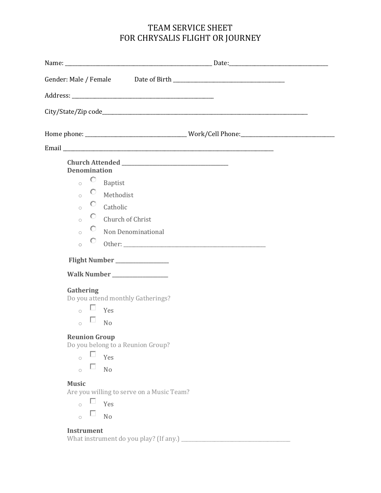# TEAM SERVICE SHEET FOR CHRYSALIS FLIGHT OR JOURNEY

| <b>Denomination</b><br>O<br>Baptist<br>$\circ$<br>О.<br>Methodist<br>$\circ$<br>О.<br>Catholic<br>$\circ$<br>О.<br>Church of Christ<br>$\bigcap$<br>О.<br>Non Denominational<br>$\circ$<br>O<br>$\circ$        |  |
|----------------------------------------------------------------------------------------------------------------------------------------------------------------------------------------------------------------|--|
| Flight Number ________________                                                                                                                                                                                 |  |
| <b>Walk Number __________________</b>                                                                                                                                                                          |  |
| Gathering<br>Do you attend monthly Gatherings?<br>$\sim$ $\Box$ Yes<br>ш<br>N <sub>o</sub><br>$\circ$                                                                                                          |  |
| <b>Reunion Group</b><br>Do you belong to a Reunion Group?<br>Yes<br>$\circ$<br>ш<br>N <sub>o</sub><br>$\circ$<br><b>Music</b><br>Are you willing to serve on a Music Team?<br>Yes<br>N <sub>o</sub><br>$\circ$ |  |

# **Instrument**

What instrument do you play? (If any.) \_\_\_\_\_\_\_\_\_\_\_\_\_\_\_\_\_\_\_\_\_\_\_\_\_\_\_\_\_\_\_\_\_\_\_\_\_\_\_\_\_\_\_